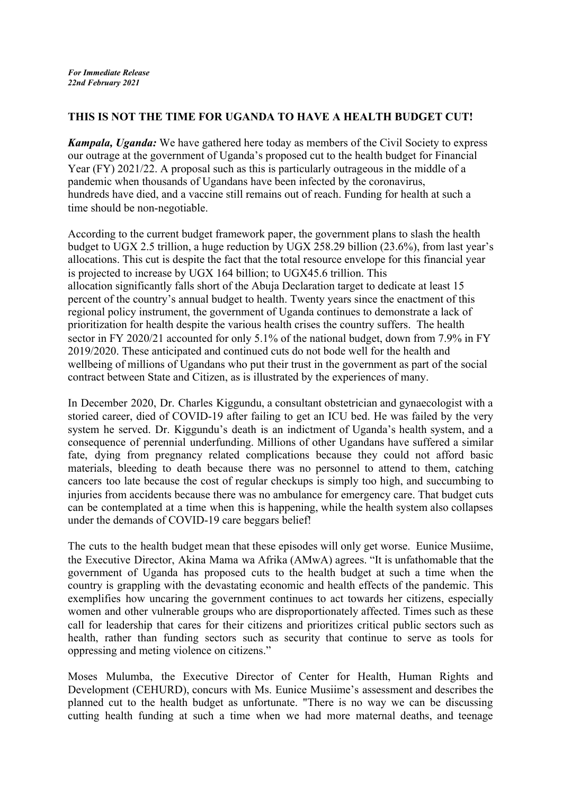## **THIS IS NOT THE TIME FOR UGANDA TO HAVE A HEALTH BUDGET CUT!**

*Kampala, Uganda:* We have gathered here today as members of the Civil Society to express our outrage at the government of Uganda's proposed cut to the health budget for Financial Year (FY) 2021/22. A proposal such as this is particularly outrageous in the middle of a pandemic when thousands of Ugandans have been infected by the coronavirus, hundreds have died, and a vaccine still remains out of reach. Funding for health at such a time should be non-negotiable.

According to the current budget framework paper, the government plans to slash the health budget to UGX 2.5 trillion, a huge reduction by UGX 258.29 billion (23.6%), from last year's allocations. This cut is despite the fact that the total resource envelope for this financial year is projected to increase by UGX 164 billion; to UGX45.6 trillion. This allocation significantly falls short of the Abuja Declaration target to dedicate at least 15 percent of the country's annual budget to health. Twenty years since the enactment of this regional policy instrument, the government of Uganda continues to demonstrate a lack of prioritization for health despite the various health crises the country suffers. The health sector in FY 2020/21 accounted for only 5.1% of the national budget, down from 7.9% in FY 2019/2020. These anticipated and continued cuts do not bode well for the health and wellbeing of millions of Ugandans who put their trust in the government as part of the social contract between State and Citizen, as is illustrated by the experiences of many.

In December 2020, Dr. Charles Kiggundu, a consultant obstetrician and gynaecologist with a storied career, died of COVID-19 after failing to get an ICU bed. He was failed by the very system he served. Dr. Kiggundu's death is an indictment of Uganda's health system, and a consequence of perennial underfunding. Millions of other Ugandans have suffered a similar fate, dying from pregnancy related complications because they could not afford basic materials, bleeding to death because there was no personnel to attend to them, catching cancers too late because the cost of regular checkups is simply too high, and succumbing to injuries from accidents because there was no ambulance for emergency care. That budget cuts can be contemplated at a time when this is happening, while the health system also collapses under the demands of COVID-19 care beggars belief!

The cuts to the health budget mean that these episodes will only get worse. Eunice Musiime, the Executive Director, Akina Mama wa Afrika (AMwA) agrees. "It is unfathomable that the government of Uganda has proposed cuts to the health budget at such a time when the country is grappling with the devastating economic and health effects of the pandemic. This exemplifies how uncaring the government continues to act towards her citizens, especially women and other vulnerable groups who are disproportionately affected. Times such as these call for leadership that cares for their citizens and prioritizes critical public sectors such as health, rather than funding sectors such as security that continue to serve as tools for oppressing and meting violence on citizens."

Moses Mulumba, the Executive Director of Center for Health, Human Rights and Development (CEHURD), concurs with Ms. Eunice Musiime's assessment and describes the planned cut to the health budget as unfortunate. "There is no way we can be discussing cutting health funding at such a time when we had more maternal deaths, and teenage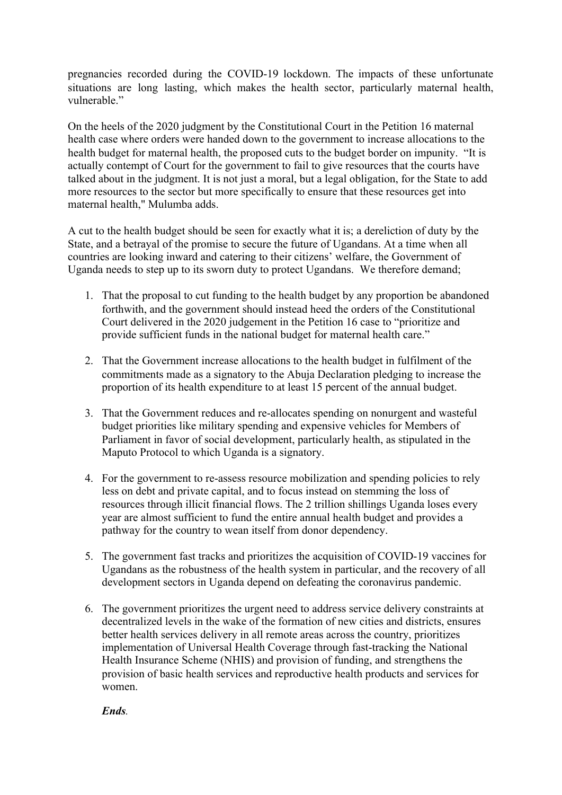pregnancies recorded during the COVID-19 lockdown. The impacts of these unfortunate situations are long lasting, which makes the health sector, particularly maternal health, vulnerable."

On the heels of the 2020 judgment by the Constitutional Court in the Petition 16 maternal health case where orders were handed down to the government to increase allocations to the health budget for maternal health, the proposed cuts to the budget border on impunity. "It is actually contempt of Court for the government to fail to give resources that the courts have talked about in the judgment. It is not just a moral, but a legal obligation, for the State to add more resources to the sector but more specifically to ensure that these resources get into maternal health," Mulumba adds.

A cut to the health budget should be seen for exactly what it is; a dereliction of duty by the State, and a betrayal of the promise to secure the future of Ugandans. At a time when all countries are looking inward and catering to their citizens' welfare, the Government of Uganda needs to step up to its sworn duty to protect Ugandans. We therefore demand;

- 1. That the proposal to cut funding to the health budget by any proportion be abandoned forthwith, and the government should instead heed the orders of the Constitutional Court delivered in the 2020 judgement in the Petition 16 case to "prioritize and provide sufficient funds in the national budget for maternal health care."
- 2. That the Government increase allocations to the health budget in fulfilment of the commitments made as a signatory to the Abuja Declaration pledging to increase the proportion of its health expenditure to at least 15 percent of the annual budget.
- 3. That the Government reduces and re-allocates spending on nonurgent and wasteful budget priorities like military spending and expensive vehicles for Members of Parliament in favor of social development, particularly health, as stipulated in the Maputo Protocol to which Uganda is a signatory.
- 4. For the government to re-assess resource mobilization and spending policies to rely less on debt and private capital, and to focus instead on stemming the loss of resources through illicit financial flows. The 2 trillion shillings Uganda loses every year are almost sufficient to fund the entire annual health budget and provides a pathway for the country to wean itself from donor dependency.
- 5. The government fast tracks and prioritizes the acquisition of COVID-19 vaccines for Ugandans as the robustness of the health system in particular, and the recovery of all development sectors in Uganda depend on defeating the coronavirus pandemic.
- 6. The government prioritizes the urgent need to address service delivery constraints at decentralized levels in the wake of the formation of new cities and districts, ensures better health services delivery in all remote areas across the country, prioritizes implementation of Universal Health Coverage through fast-tracking the National Health Insurance Scheme (NHIS) and provision of funding, and strengthens the provision of basic health services and reproductive health products and services for women.

*Ends.*